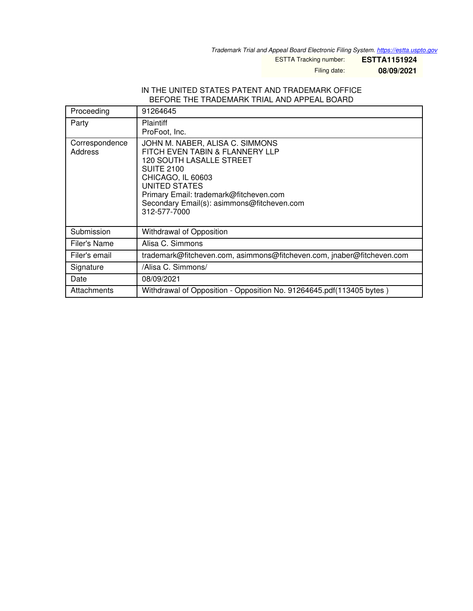*Trademark Trial and Appeal Board Electronic Filing System. <https://estta.uspto.gov>*

ESTTA Tracking number: **ESTTA1151924**

Filing date: **08/09/2021**

## IN THE UNITED STATES PATENT AND TRADEMARK OFFICE BEFORE THE TRADEMARK TRIAL AND APPEAL BOARD

| Proceeding                | 91264645                                                                                                                                                                                                                                                                 |
|---------------------------|--------------------------------------------------------------------------------------------------------------------------------------------------------------------------------------------------------------------------------------------------------------------------|
| Party                     | <b>Plaintiff</b><br>ProFoot, Inc.                                                                                                                                                                                                                                        |
| Correspondence<br>Address | JOHN M. NABER, ALISA C. SIMMONS<br>FITCH EVEN TABIN & FLANNERY LLP<br><b>120 SOUTH LASALLE STREET</b><br><b>SUITE 2100</b><br>CHICAGO, IL 60603<br>UNITED STATES<br>Primary Email: trademark@fitcheven.com<br>Secondary Email(s): asimmons@fitcheven.com<br>312-577-7000 |
| Submission                | Withdrawal of Opposition                                                                                                                                                                                                                                                 |
| Filer's Name              | Alisa C. Simmons                                                                                                                                                                                                                                                         |
| Filer's email             | trademark@fitcheven.com, asimmons@fitcheven.com, jnaber@fitcheven.com                                                                                                                                                                                                    |
| Signature                 | /Alisa C. Simmons/                                                                                                                                                                                                                                                       |
| Date                      | 08/09/2021                                                                                                                                                                                                                                                               |
| Attachments               | Withdrawal of Opposition - Opposition No. 91264645.pdf(113405 bytes)                                                                                                                                                                                                     |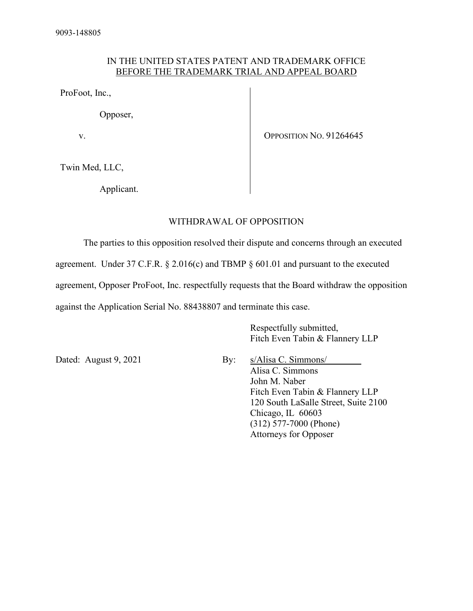## IN THE UNITED STATES PATENT AND TRADEMARK OFFICE BEFORE THE TRADEMARK TRIAL AND APPEAL BOARD

ProFoot, Inc.,

Opposer,

v.

OPPOSITION NO. 91264645

Twin Med, LLC,

Applicant.

## WITHDRAWAL OF OPPOSITION

 The parties to this opposition resolved their dispute and concerns through an executed agreement. Under 37 C.F.R. § 2.016(c) and TBMP § 601.01 and pursuant to the executed agreement, Opposer ProFoot, Inc. respectfully requests that the Board withdraw the opposition against the Application Serial No. 88438807 and terminate this case.

> Respectfully submitted, Fitch Even Tabin & Flannery LLP

Dated: August 9, 2021 By: s/Alisa C. Simmons/ Alisa C. Simmons John M. Naber Fitch Even Tabin & Flannery LLP 120 South LaSalle Street, Suite 2100 Chicago, IL 60603 (312) 577-7000 (Phone) Attorneys for Opposer